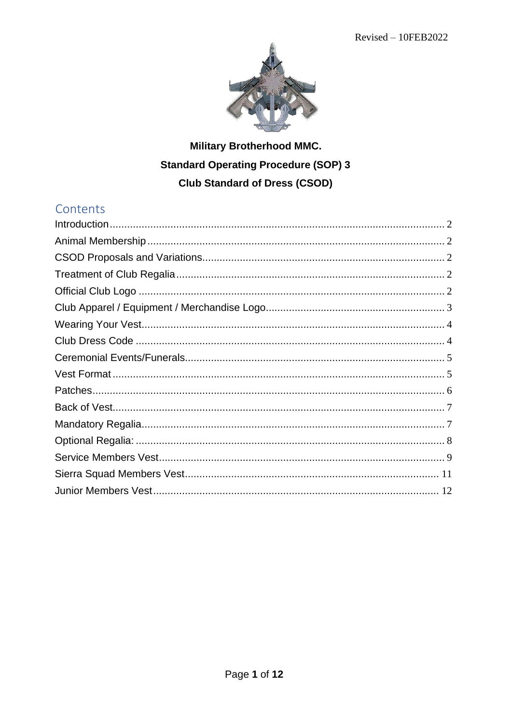

# **Military Brotherhood MMC. Standard Operating Procedure (SOP) 3 Club Standard of Dress (CSOD)**

## Contents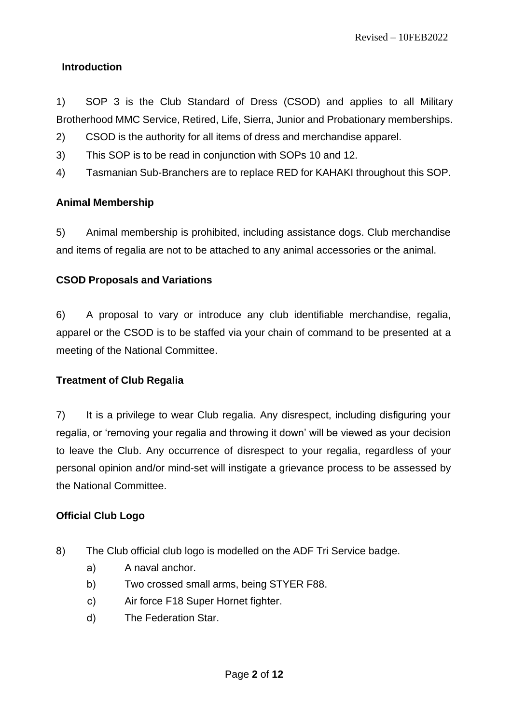## <span id="page-1-0"></span>**Introduction**

1) SOP 3 is the Club Standard of Dress (CSOD) and applies to all Military Brotherhood MMC Service, Retired, Life, Sierra, Junior and Probationary memberships.

- 2) CSOD is the authority for all items of dress and merchandise apparel.
- 3) This SOP is to be read in conjunction with SOPs 10 and 12.
- 4) Tasmanian Sub-Branchers are to replace RED for KAHAKI throughout this SOP.

## <span id="page-1-1"></span>**Animal Membership**

5) Animal membership is prohibited, including assistance dogs. Club merchandise and items of regalia are not to be attached to any animal accessories or the animal.

## <span id="page-1-2"></span>**CSOD Proposals and Variations**

6) A proposal to vary or introduce any club identifiable merchandise, regalia, apparel or the CSOD is to be staffed via your chain of command to be presented at a meeting of the National Committee.

#### <span id="page-1-3"></span>**Treatment of Club Regalia**

7) It is a privilege to wear Club regalia. Any disrespect, including disfiguring your regalia, or 'removing your regalia and throwing it down' will be viewed as your decision to leave the Club. Any occurrence of disrespect to your regalia, regardless of your personal opinion and/or mind-set will instigate a grievance process to be assessed by the National Committee.

#### <span id="page-1-4"></span>**Official Club Logo**

- 8) The Club official club logo is modelled on the ADF Tri Service badge.
	- a) A naval anchor.
	- b) Two crossed small arms, being STYER F88.
	- c) Air force F18 Super Hornet fighter.
	- d) The Federation Star.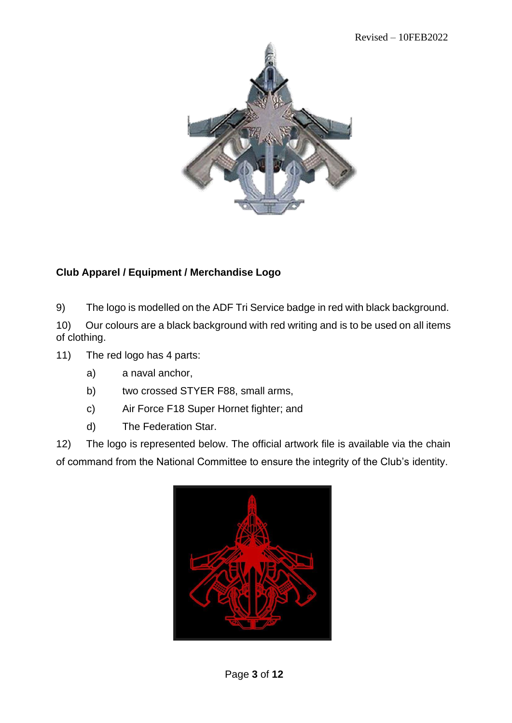

## <span id="page-2-0"></span>**Club Apparel / Equipment / Merchandise Logo**

9) The logo is modelled on the ADF Tri Service badge in red with black background.

10) Our colours are a black background with red writing and is to be used on all items of clothing.

- 11) The red logo has 4 parts:
	- a) a naval anchor,
	- b) two crossed STYER F88, small arms,
	- c) Air Force F18 Super Hornet fighter; and
	- d) The Federation Star.

12) The logo is represented below. The official artwork file is available via the chain of command from the National Committee to ensure the integrity of the Club's identity.

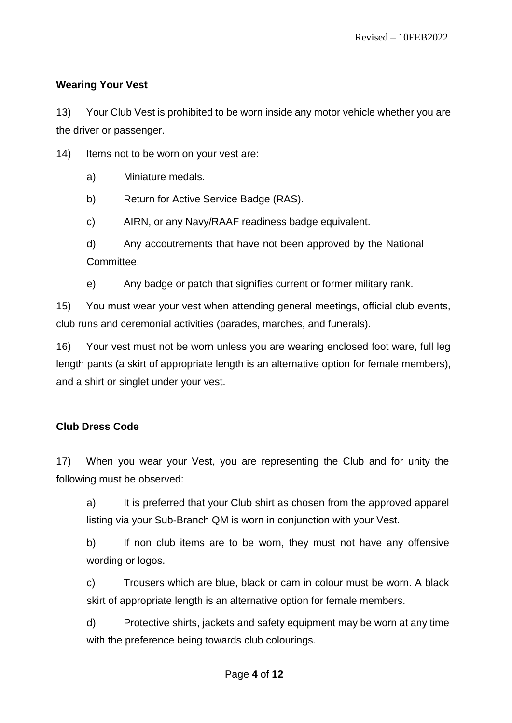## <span id="page-3-0"></span>**Wearing Your Vest**

13) Your Club Vest is prohibited to be worn inside any motor vehicle whether you are the driver or passenger.

14) Items not to be worn on your vest are:

a) Miniature medals.

b) Return for Active Service Badge (RAS).

c) AIRN, or any Navy/RAAF readiness badge equivalent.

d) Any accoutrements that have not been approved by the National Committee.

e) Any badge or patch that signifies current or former military rank.

15) You must wear your vest when attending general meetings, official club events, club runs and ceremonial activities (parades, marches, and funerals).

16) Your vest must not be worn unless you are wearing enclosed foot ware, full leg length pants (a skirt of appropriate length is an alternative option for female members), and a shirt or singlet under your vest.

## <span id="page-3-1"></span>**Club Dress Code**

17) When you wear your Vest, you are representing the Club and for unity the following must be observed:

a) It is preferred that your Club shirt as chosen from the approved apparel listing via your Sub-Branch QM is worn in conjunction with your Vest.

b) If non club items are to be worn, they must not have any offensive wording or logos.

c) Trousers which are blue, black or cam in colour must be worn. A black skirt of appropriate length is an alternative option for female members.

d) Protective shirts, jackets and safety equipment may be worn at any time with the preference being towards club colourings.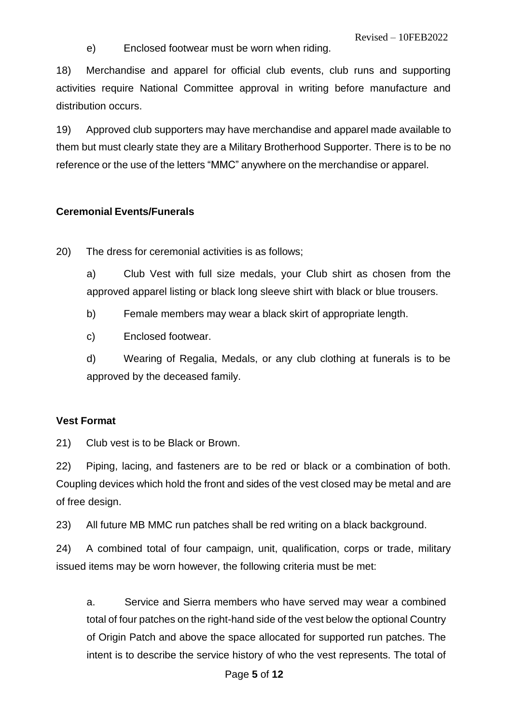e) Enclosed footwear must be worn when riding.

18) Merchandise and apparel for official club events, club runs and supporting activities require National Committee approval in writing before manufacture and distribution occurs.

19) Approved club supporters may have merchandise and apparel made available to them but must clearly state they are a Military Brotherhood Supporter. There is to be no reference or the use of the letters "MMC" anywhere on the merchandise or apparel.

#### <span id="page-4-0"></span>**Ceremonial Events/Funerals**

20) The dress for ceremonial activities is as follows;

a) Club Vest with full size medals, your Club shirt as chosen from the approved apparel listing or black long sleeve shirt with black or blue trousers.

b) Female members may wear a black skirt of appropriate length.

c) Enclosed footwear.

d) Wearing of Regalia, Medals, or any club clothing at funerals is to be approved by the deceased family.

#### <span id="page-4-1"></span>**Vest Format**

21) Club vest is to be Black or Brown.

22) Piping, lacing, and fasteners are to be red or black or a combination of both. Coupling devices which hold the front and sides of the vest closed may be metal and are of free design.

23) All future MB MMC run patches shall be red writing on a black background.

24) A combined total of four campaign, unit, qualification, corps or trade, military issued items may be worn however, the following criteria must be met:

a. Service and Sierra members who have served may wear a combined total of four patches on the right-hand side of the vest below the optional Country of Origin Patch and above the space allocated for supported run patches. The intent is to describe the service history of who the vest represents. The total of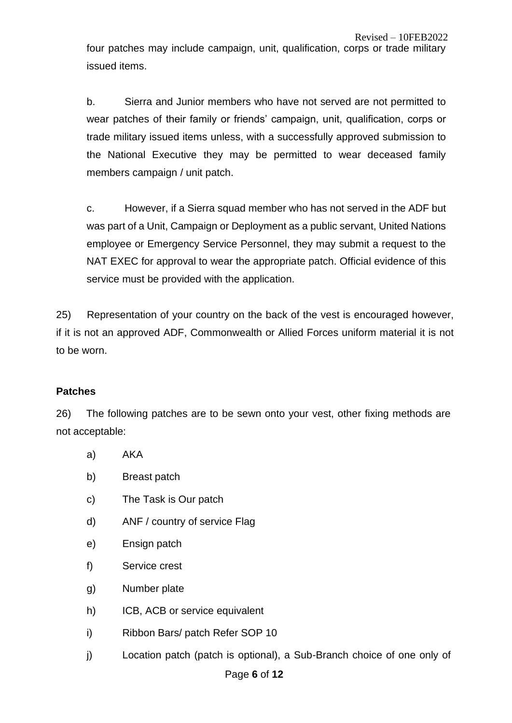four patches may include campaign, unit, qualification, corps or trade military issued items.

b. Sierra and Junior members who have not served are not permitted to wear patches of their family or friends' campaign, unit, qualification, corps or trade military issued items unless, with a successfully approved submission to the National Executive they may be permitted to wear deceased family members campaign / unit patch.

c. However, if a Sierra squad member who has not served in the ADF but was part of a Unit, Campaign or Deployment as a public servant, United Nations employee or Emergency Service Personnel, they may submit a request to the NAT EXEC for approval to wear the appropriate patch. Official evidence of this service must be provided with the application.

25) Representation of your country on the back of the vest is encouraged however, if it is not an approved ADF, Commonwealth or Allied Forces uniform material it is not to be worn.

#### <span id="page-5-0"></span>**Patches**

26) The following patches are to be sewn onto your vest, other fixing methods are not acceptable:

- a) AKA
- b) Breast patch
- c) The Task is Our patch
- d) ANF / country of service Flag
- e) Ensign patch
- f) Service crest
- g) Number plate
- h) ICB, ACB or service equivalent
- i) Ribbon Bars/ patch Refer SOP 10
- j) Location patch (patch is optional), a Sub-Branch choice of one only of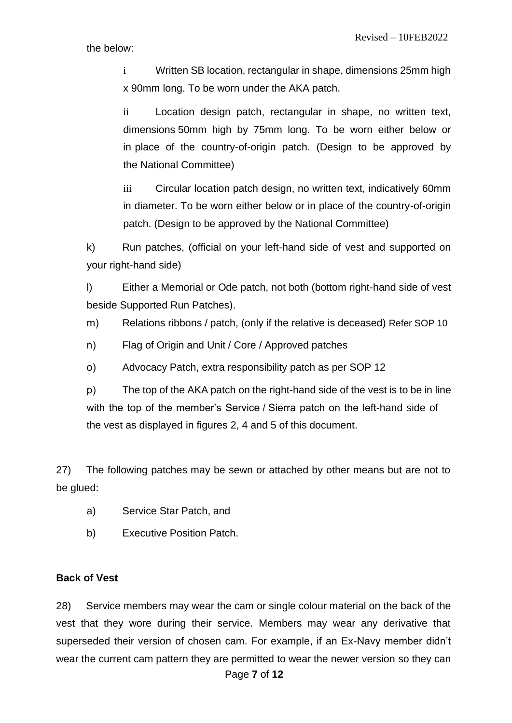i Written SB location, rectangular in shape, dimensions 25mm high x 90mm long. To be worn under the AKA patch.

ii Location design patch, rectangular in shape, no written text, dimensions 50mm high by 75mm long. To be worn either below or in place of the country-of-origin patch. (Design to be approved by the National Committee)

iii Circular location patch design, no written text, indicatively 60mm in diameter. To be worn either below or in place of the country-of-origin patch. (Design to be approved by the National Committee)

k) Run patches, (official on your left-hand side of vest and supported on your right-hand side)

l) Either a Memorial or Ode patch, not both (bottom right-hand side of vest beside Supported Run Patches).

m) Relations ribbons / patch, (only if the relative is deceased) Refer SOP 10

- n) Flag of Origin and Unit / Core / Approved patches
- o) Advocacy Patch, extra responsibility patch as per SOP 12

p) The top of the AKA patch on the right-hand side of the vest is to be in line with the top of the member's Service / Sierra patch on the left-hand side of the vest as displayed in figures 2, 4 and 5 of this document.

27) The following patches may be sewn or attached by other means but are not to be glued:

- a) Service Star Patch, and
- b) Executive Position Patch.

#### <span id="page-6-0"></span>**Back of Vest**

Page **7** of **12** 28) Service members may wear the cam or single colour material on the back of the vest that they wore during their service. Members may wear any derivative that superseded their version of chosen cam. For example, if an Ex-Navy member didn't wear the current cam pattern they are permitted to wear the newer version so they can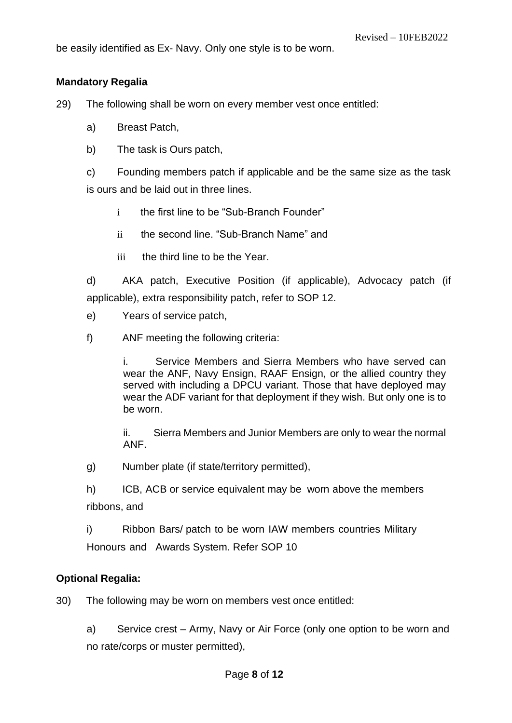be easily identified as Ex- Navy. Only one style is to be worn.

#### <span id="page-7-0"></span>**Mandatory Regalia**

29) The following shall be worn on every member vest once entitled:

- a) Breast Patch,
- b) The task is Ours patch,

c) Founding members patch if applicable and be the same size as the task is ours and be laid out in three lines.

- i the first line to be "Sub-Branch Founder"
- ii the second line. "Sub-Branch Name" and
- iii the third line to be the Year.

d) AKA patch, Executive Position (if applicable), Advocacy patch (if applicable), extra responsibility patch, refer to SOP 12.

- e) Years of service patch,
- f) ANF meeting the following criteria:

i. Service Members and Sierra Members who have served can wear the ANF, Navy Ensign, RAAF Ensign, or the allied country they served with including a DPCU variant. Those that have deployed may wear the ADF variant for that deployment if they wish. But only one is to be worn.

ii. Sierra Members and Junior Members are only to wear the normal ANF.

g) Number plate (if state/territory permitted),

h) ICB, ACB or service equivalent may be worn above the members ribbons, and

i) Ribbon Bars/ patch to be worn IAW members countries Military Honours and Awards System. Refer SOP 10

#### <span id="page-7-1"></span>**Optional Regalia:**

30) The following may be worn on members vest once entitled:

a) Service crest – Army, Navy or Air Force (only one option to be worn and no rate/corps or muster permitted),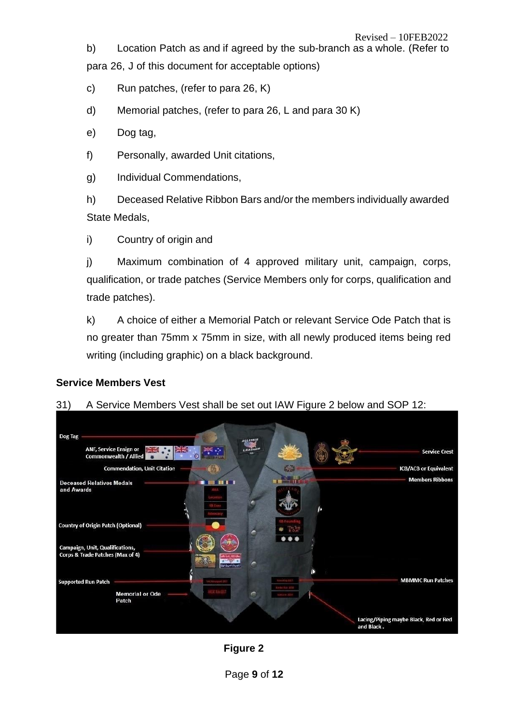b) Location Patch as and if agreed by the sub-branch as a whole. (Refer to para 26, J of this document for acceptable options)

c) Run patches, (refer to para 26, K)

- d) Memorial patches, (refer to para 26, L and para 30 K)
- e) Dog tag,
- f) Personally, awarded Unit citations,
- g) Individual Commendations,

h) Deceased Relative Ribbon Bars and/or the members individually awarded State Medals,

i) Country of origin and

j) Maximum combination of 4 approved military unit, campaign, corps, qualification, or trade patches (Service Members only for corps, qualification and trade patches).

k) A choice of either a Memorial Patch or relevant Service Ode Patch that is no greater than 75mm x 75mm in size, with all newly produced items being red writing (including graphic) on a black background.



## <span id="page-8-0"></span>**Service Members Vest**

31) A Service Members Vest shall be set out IAW Figure 2 below and SOP 12:

**Figure 2**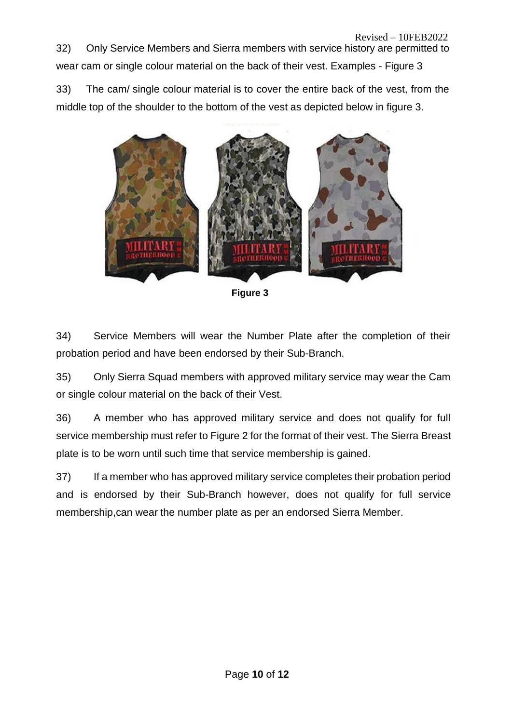32) Only Service Members and Sierra members with service history are permitted to wear cam or single colour material on the back of their vest. Examples - Figure 3

33) The cam/ single colour material is to cover the entire back of the vest, from the middle top of the shoulder to the bottom of the vest as depicted below in figure 3.



**Figure 3**

34) Service Members will wear the Number Plate after the completion of their probation period and have been endorsed by their Sub-Branch.

35) Only Sierra Squad members with approved military service may wear the Cam or single colour material on the back of their Vest.

36) A member who has approved military service and does not qualify for full service membership must refer to Figure 2 for the format of their vest. The Sierra Breast plate is to be worn until such time that service membership is gained.

37) If a member who has approved military service completes their probation period and is endorsed by their Sub-Branch however, does not qualify for full service membership,can wear the number plate as per an endorsed Sierra Member.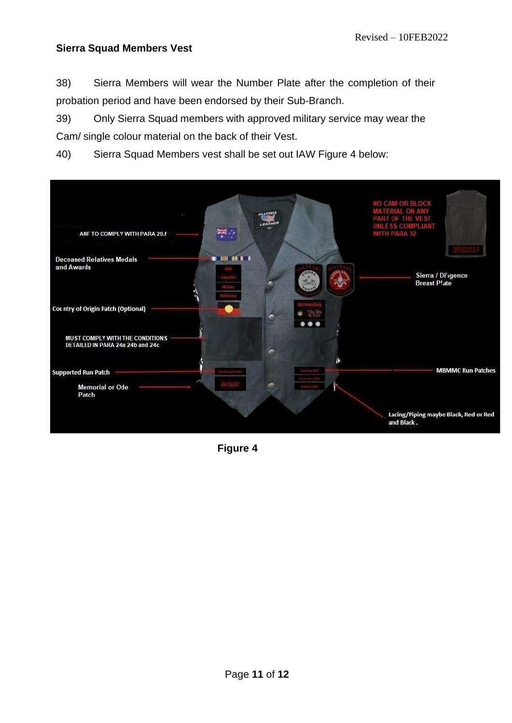## <span id="page-10-0"></span>**Sierra Squad Members Vest**

38) Sierra Members will wear the Number Plate after the completion of their probation period and have been endorsed by their Sub-Branch.

39) Only Sierra Squad members with approved military service may wear the Cam/ single colour material on the back of their Vest.

40) Sierra Squad Members vest shall be set out IAW Figure 4 below:



**Figure 4**